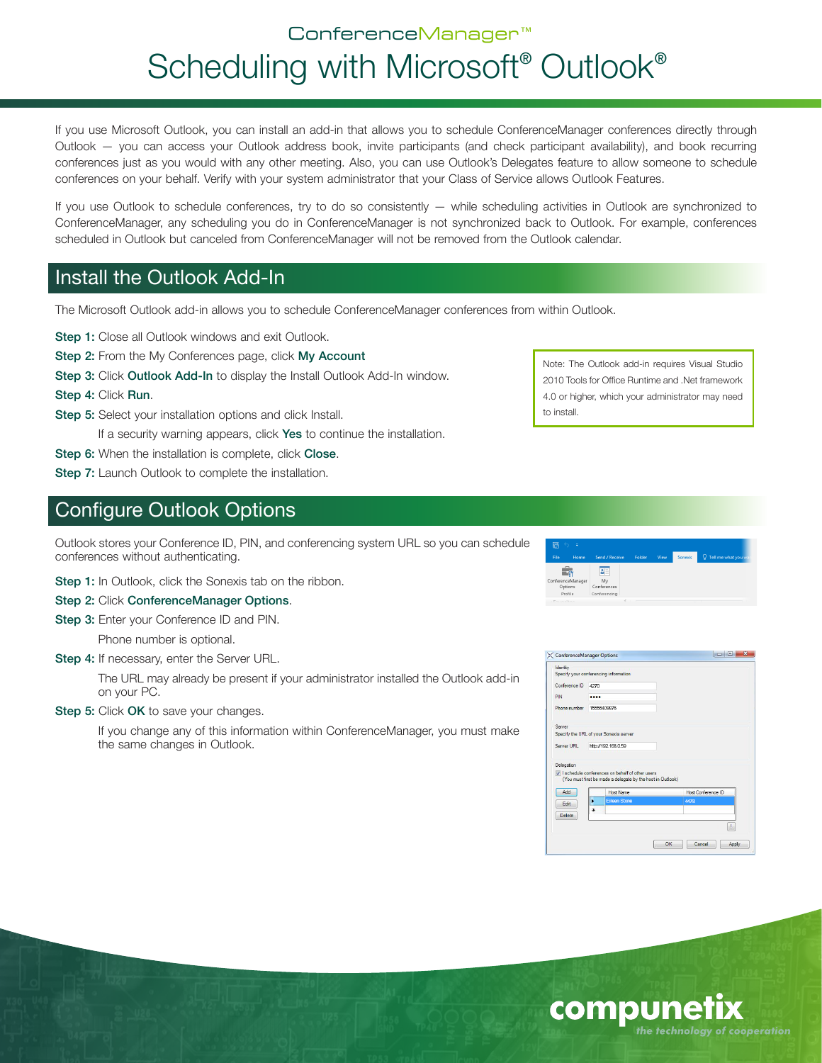# ConferenceManager™ Scheduling with Microsoft<sup>®</sup> Outlook<sup>®</sup>

If you use Microsoft Outlook, you can install an add-in that allows you to schedule ConferenceManager conferences directly through Outlook — you can access your Outlook address book, invite participants (and check participant availability), and book recurring conferences just as you would with any other meeting. Also, you can use Outlook's Delegates feature to allow someone to schedule conferences on your behalf. Verify with your system administrator that your Class of Service allows Outlook Features.

If you use Outlook to schedule conferences, try to do so consistently — while scheduling activities in Outlook are synchronized to ConferenceManager, any scheduling you do in ConferenceManager is not synchronized back to Outlook. For example, conferences scheduled in Outlook but canceled from ConferenceManager will not be removed from the Outlook calendar.

# Install the Outlook Add-In

The Microsoft Outlook add-in allows you to schedule ConferenceManager conferences from within Outlook.

Step 1: Close all Outlook windows and exit Outlook.

Step 2: From the My Conferences page, click My Account

Step 3: Click Outlook Add-In to display the Install Outlook Add-In window.

Step 4: Click Run.

Step 5: Select your installation options and click Install.

If a security warning appears, click Yes to continue the installation.

Step 6: When the installation is complete, click Close.

Step 7: Launch Outlook to complete the installation.

# Configure Outlook Options

Outlook stores your Conference ID, PIN, and conferencing system URL so you can schedule conferences without authenticating.

Step 1: In Outlook, click the Sonexis tab on the ribbon.

Step 2: Click ConferenceManager Options.

Step 3: Enter your Conference ID and PIN.

Phone number is optional.

Step 4: If necessary, enter the Server URL.

The URL may already be present if your administrator installed the Outlook add-in on your PC.

Step 5: Click OK to save your changes.

If you change any of this information within ConferenceManager, you must make the same changes in Outlook.

| h                 | Φ    |                |        |      |                |                             |
|-------------------|------|----------------|--------|------|----------------|-----------------------------|
| File              | Home | Send / Receive | Folder | View | <b>Sonexis</b> | <b>Q</b> Tell me what you w |
|                   |      | å.             |        |      |                |                             |
| ConferenceManager |      | Mv             |        |      |                |                             |
| Options           |      | Conferences    |        |      |                |                             |
| Profile           |      | Conferencing   |        |      |                |                             |

Note: The Outlook add-in requires Visual Studio 2010 Tools for Office Runtime and .Net framework 4.0 or higher, which your administrator may need

to install.

| Identity<br>Specify your conferencing information<br>Conference ID | 4270                |                                                                                                                 |      |                    |       |  |
|--------------------------------------------------------------------|---------------------|-----------------------------------------------------------------------------------------------------------------|------|--------------------|-------|--|
|                                                                    |                     |                                                                                                                 |      |                    |       |  |
|                                                                    |                     |                                                                                                                 |      |                    |       |  |
|                                                                    |                     |                                                                                                                 |      |                    |       |  |
| PIN                                                                |                     |                                                                                                                 |      |                    |       |  |
| Phone number                                                       | 15556409876         |                                                                                                                 |      |                    |       |  |
| Server                                                             |                     |                                                                                                                 |      |                    |       |  |
| Specify the URL of your Sonexis server                             |                     |                                                                                                                 |      |                    |       |  |
| Server URL                                                         | http://192.168.0.59 |                                                                                                                 |      |                    |       |  |
| Delegation                                                         |                     |                                                                                                                 |      |                    |       |  |
|                                                                    |                     | V I schedule conferences on behalf of other users<br>(You must first be made a delegate by the host in Outlook) |      |                    |       |  |
| Add                                                                |                     | <b>Host Name</b>                                                                                                |      | Host Conference ID |       |  |
| Edit                                                               | ٠                   | Eileen Stone                                                                                                    | 4478 |                    |       |  |
| <b>Delete</b>                                                      | 米                   |                                                                                                                 |      |                    |       |  |
|                                                                    |                     |                                                                                                                 |      |                    |       |  |
|                                                                    |                     |                                                                                                                 | OK   | Cancel             | Apply |  |